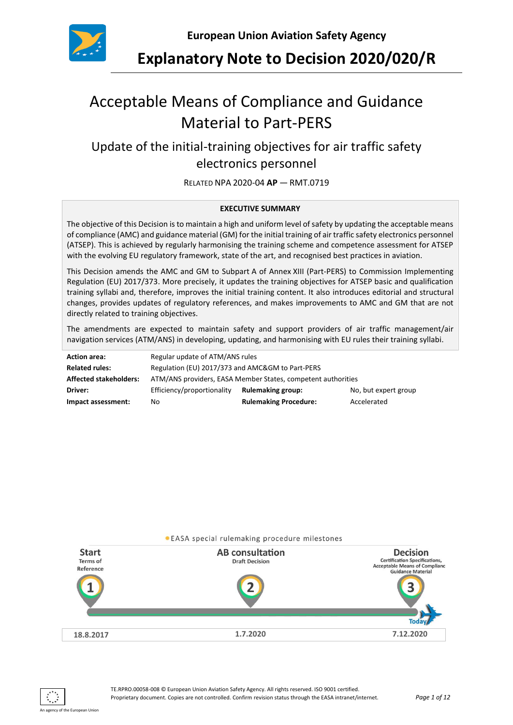

**Explanatory Note to Decision 2020/020/R**

# Acceptable Means of Compliance and Guidance Material to Part-PERS

## Update of the initial-training objectives for air traffic safety electronics personnel

RELATED NPA 2020-04 **AP** — RMT.0719

#### **EXECUTIVE SUMMARY**

The objective of this Decision is to maintain a high and uniform level of safety by updating the acceptable means of compliance (AMC) and guidance material (GM) for the initial training of air traffic safety electronics personnel (ATSEP). This is achieved by regularly harmonising the training scheme and competence assessment for ATSEP with the evolving EU regulatory framework, state of the art, and recognised best practices in aviation.

This Decision amends the AMC and GM to Subpart A of Annex XIII (Part-PERS) to Commission Implementing Regulation (EU) 2017/373. More precisely, it updates the training objectives for ATSEP basic and qualification training syllabi and, therefore, improves the initial training content. It also introduces editorial and structural changes, provides updates of regulatory references, and makes improvements to AMC and GM that are not directly related to training objectives.

The amendments are expected to maintain safety and support providers of air traffic management/air navigation services (ATM/ANS) in developing, updating, and harmonising with EU rules their training syllabi.

| <b>Action area:</b>           | Regular update of ATM/ANS rules                              |                              |                      |
|-------------------------------|--------------------------------------------------------------|------------------------------|----------------------|
| <b>Related rules:</b>         | Regulation (EU) 2017/373 and AMC&GM to Part-PERS             |                              |                      |
| <b>Affected stakeholders:</b> | ATM/ANS providers, EASA Member States, competent authorities |                              |                      |
| Driver:                       | Efficiency/proportionality                                   | <b>Rulemaking group:</b>     | No, but expert group |
| Impact assessment:            | No.                                                          | <b>Rulemaking Procedure:</b> | Accelerated          |



An agency of the European Union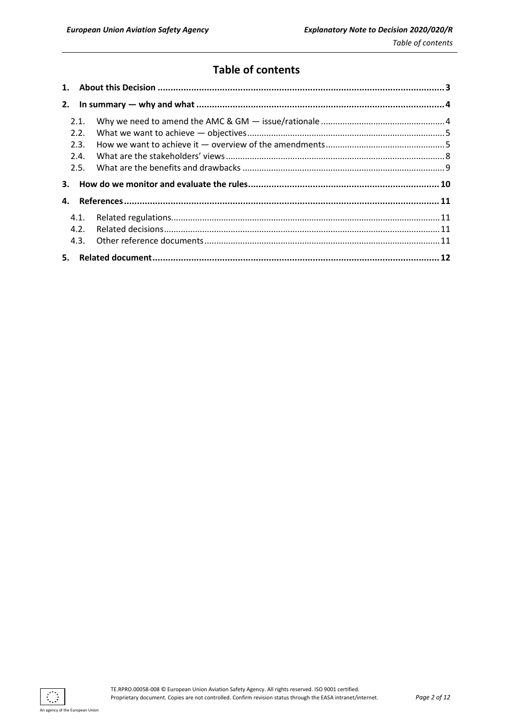## **Table of contents**

| 2.   |  |
|------|--|
| 2.1. |  |
| 2.2. |  |
| 2.3. |  |
| 2.4. |  |
| 2.5. |  |
|      |  |
| 3.   |  |
| 4.   |  |
| 4.1. |  |
| 4.2. |  |
| 4.3. |  |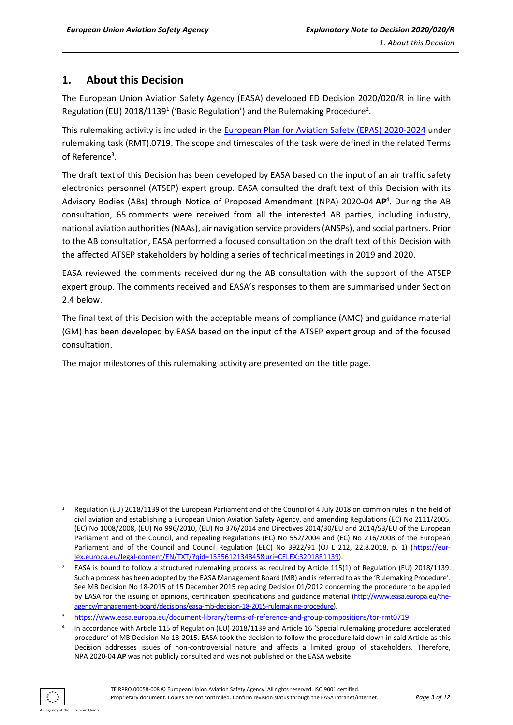## <span id="page-2-0"></span>**1. About this Decision**

The European Union Aviation Safety Agency (EASA) developed ED Decision 2020/020/R in line with Regulation (EU) 2018/1139<sup>1</sup> ('Basic Regulation') and the Rulemaking Procedure<sup>2</sup>.

This rulemaking activity is included in the [European Plan for Aviation Safety \(EPAS\)](https://www.easa.europa.eu/sites/default/files/dfu/EPAS_2020-2024.pdf) 2020-2024 under rulemaking task (RMT).0719. The scope and timescales of the task were defined in the related Terms of Reference<sup>3</sup>.

The draft text of this Decision has been developed by EASA based on the input of an air traffic safety electronics personnel (ATSEP) expert group. EASA consulted the draft text of this Decision with its Advisory Bodies (ABs) through Notice of Proposed Amendment (NPA) 2020-04 **AP**<sup>4</sup> . During the AB consultation, 65 comments were received from all the interested AB parties, including industry, national aviation authorities(NAAs), air navigation service providers(ANSPs), and social partners. Prior to the AB consultation, EASA performed a focused consultation on the draft text of this Decision with the affected ATSEP stakeholders by holding a series of technical meetings in 2019 and 2020.

EASA reviewed the comments received during the AB consultation with the support of the ATSEP expert group. The comments received and EASA's responses to them are summarised under Section 2.4 below.

The final text of this Decision with the acceptable means of compliance (AMC) and guidance material (GM) has been developed by EASA based on the input of the ATSEP expert group and of the focused consultation.

The major milestones of this rulemaking activity are presented on the title page.

Regulation (EU) 2018/1139 of the European Parliament and of the Council of 4 July 2018 on common rules in the field of civil aviation and establishing a European Union Aviation Safety Agency, and amending Regulations (EC) No 2111/2005, (EC) No 1008/2008, (EU) No 996/2010, (EU) No 376/2014 and Directives 2014/30/EU and 2014/53/EU of the European Parliament and of the Council, and repealing Regulations (EC) No 552/2004 and (EC) No 216/2008 of the European Parliament and of the Council and Council Regulation (EEC) No 3922/91 (OJ L 212, 22.8.2018, p. 1) [\(https://eur](https://eur-lex.europa.eu/legal-content/EN/TXT/?qid=1535612134845&uri=CELEX:32018R1139)[lex.europa.eu/legal-content/EN/TXT/?qid=1535612134845&uri=CELEX:32018R1139\)](https://eur-lex.europa.eu/legal-content/EN/TXT/?qid=1535612134845&uri=CELEX:32018R1139).

<sup>&</sup>lt;sup>2</sup> EASA is bound to follow a structured rulemaking process as required by Article 115(1) of Regulation (EU) 2018/1139. Such a process has been adopted by the EASA Management Board (MB) and is referred to as the 'Rulemaking Procedure'. See MB Decision No 18-2015 of 15 December 2015 replacing Decision 01/2012 concerning the procedure to be applied by EASA for the issuing of opinions, certification specifications and guidance material [\(http://www.easa.europa.eu/the](http://www.easa.europa.eu/the-agency/management-board/decisions/easa-mb-decision-18-2015-rulemaking-procedure)[agency/management-board/decisions/easa-mb-decision-18-2015-rulemaking-procedure\)](http://www.easa.europa.eu/the-agency/management-board/decisions/easa-mb-decision-18-2015-rulemaking-procedure).

<sup>3</sup> <https://www.easa.europa.eu/document-library/terms-of-reference-and-group-compositions/tor-rmt0719>

<sup>4</sup> In accordance with Article 115 of Regulation (EU) 2018/1139 and Article 16 'Special rulemaking procedure: accelerated procedure' of MB Decision No 18-2015. EASA took the decision to follow the procedure laid down in said Article as this Decision addresses issues of non-controversial nature and affects a limited group of stakeholders. Therefore, NPA 2020-04 **AP** was not publicly consulted and was not published on the EASA website.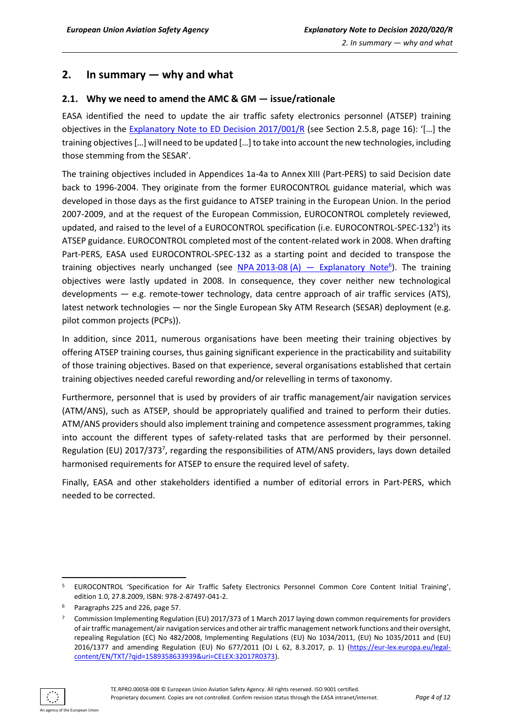## <span id="page-3-0"></span>**2. In summary — why and what**

#### <span id="page-3-1"></span>**2.1. Why we need to amend the AMC & GM — issue/rationale**

EASA identified the need to update the air traffic safety electronics personnel (ATSEP) training objectives in the [Explanatory Note to ED Decision 2017/001/R](https://www.easa.europa.eu/sites/default/files/dfu/EN%20to%20ED%20Decision%202017-001-R.pdf) (see Section 2.5.8, page 16): '[…] the training objectives […] will need to be updated […] to take into account the new technologies, including those stemming from the SESAR'.

The training objectives included in Appendices 1a-4a to Annex XIII (Part-PERS) to said Decision date back to 1996-2004. They originate from the former EUROCONTROL guidance material, which was developed in those days as the first guidance to ATSEP training in the European Union. In the period 2007-2009, and at the request of the European Commission, EUROCONTROL completely reviewed, updated, and raised to the level of a EUROCONTROL specification (i.e. EUROCONTROL-SPEC-132<sup>5</sup>) its ATSEP guidance. EUROCONTROL completed most of the content-related work in 2008. When drafting Part-PERS, EASA used EUROCONTROL-SPEC-132 as a starting point and decided to transpose the training objectives nearly unchanged (see NPA 2013-08 (A) — [Explanatory Note](https://www.easa.europa.eu/sites/default/files/dfu/NPA%202013-08%20%28A%29.pdf)<sup>6</sup>). The training objectives were lastly updated in 2008. In consequence, they cover neither new technological developments — e.g. remote-tower technology, data centre approach of air traffic services (ATS), latest network technologies — nor the Single European Sky ATM Research (SESAR) deployment (e.g. pilot common projects (PCPs)).

In addition, since 2011, numerous organisations have been meeting their training objectives by offering ATSEP training courses, thus gaining significant experience in the practicability and suitability of those training objectives. Based on that experience, several organisations established that certain training objectives needed careful rewording and/or relevelling in terms of taxonomy.

Furthermore, personnel that is used by providers of air traffic management/air navigation services (ATM/ANS), such as ATSEP, should be appropriately qualified and trained to perform their duties. ATM/ANS providers should also implement training and competence assessment programmes, taking into account the different types of safety-related tasks that are performed by their personnel. Regulation (EU) 2017/373<sup>7</sup>, regarding the responsibilities of ATM/ANS providers, lays down detailed harmonised requirements for ATSEP to ensure the required level of safety.

Finally, EASA and other stakeholders identified a number of editorial errors in Part-PERS, which needed to be corrected.

ncy of the European Union

<sup>5</sup> EUROCONTROL 'Specification for Air Traffic Safety Electronics Personnel Common Core Content Initial Training', edition 1.0, 27.8.2009, ISBN: 978-2-87497-041-2.

<sup>6</sup> Paragraphs 225 and 226, page 57.

<sup>7</sup> Commission Implementing Regulation (EU) 2017/373 of 1 March 2017 laying down common requirements for providers of air traffic management/air navigation services and other air traffic management network functions and their oversight, repealing Regulation (EC) No 482/2008, Implementing Regulations (EU) No 1034/2011, (EU) No 1035/2011 and (EU) 2016/1377 and amending Regulation (EU) No 677/2011 (OJ L 62, 8.3.2017, p. 1) [\(https://eur-lex.europa.eu/legal](https://eur-lex.europa.eu/legal-content/EN/TXT/?qid=1589358633939&uri=CELEX:32017R0373)[content/EN/TXT/?qid=1589358633939&uri=CELEX:32017R0373\)](https://eur-lex.europa.eu/legal-content/EN/TXT/?qid=1589358633939&uri=CELEX:32017R0373).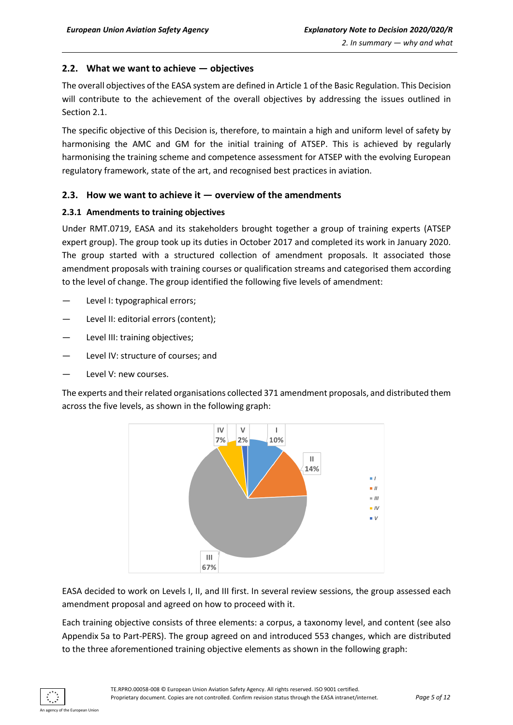#### <span id="page-4-0"></span>**2.2. What we want to achieve — objectives**

The overall objectives of the EASA system are defined in Article 1 of the Basic Regulation. This Decision will contribute to the achievement of the overall objectives by addressing the issues outlined in Section 2.1.

The specific objective of this Decision is, therefore, to maintain a high and uniform level of safety by harmonising the AMC and GM for the initial training of ATSEP. This is achieved by regularly harmonising the training scheme and competence assessment for ATSEP with the evolving European regulatory framework, state of the art, and recognised best practices in aviation.

#### <span id="page-4-1"></span>**2.3. How we want to achieve it — overview of the amendments**

#### **2.3.1 Amendments to training objectives**

Under RMT.0719, EASA and its stakeholders brought together a group of training experts (ATSEP expert group). The group took up its duties in October 2017 and completed its work in January 2020. The group started with a structured collection of amendment proposals. It associated those amendment proposals with training courses or qualification streams and categorised them according to the level of change. The group identified the following five levels of amendment:

- Level I: typographical errors;
- Level II: editorial errors (content);
- Level III: training objectives;
- Level IV: structure of courses; and
- Level V: new courses.

The experts and their related organisations collected 371 amendment proposals, and distributed them across the five levels, as shown in the following graph:



EASA decided to work on Levels I, II, and III first. In several review sessions, the group assessed each amendment proposal and agreed on how to proceed with it.

Each training objective consists of three elements: a corpus, a taxonomy level, and content (see also Appendix 5a to Part-PERS). The group agreed on and introduced 553 changes, which are distributed to the three aforementioned training objective elements as shown in the following graph: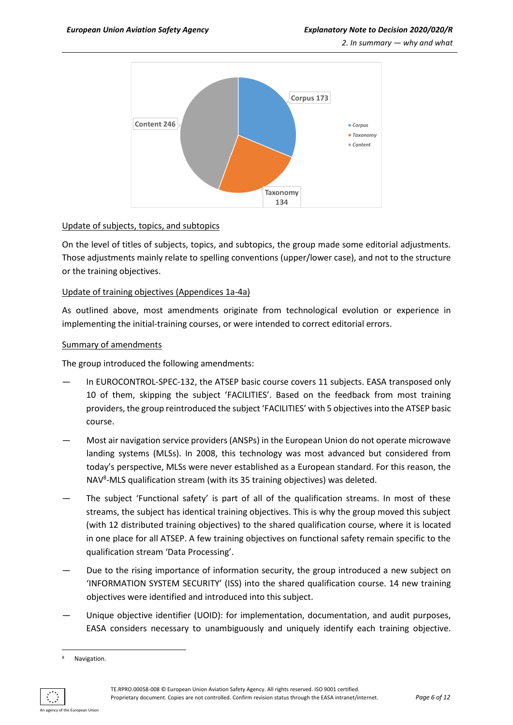*2. In summary — why and what*



#### Update of subjects, topics, and subtopics

On the level of titles of subjects, topics, and subtopics, the group made some editorial adjustments. Those adjustments mainly relate to spelling conventions (upper/lower case), and not to the structure or the training objectives.

#### Update of training objectives (Appendices 1a-4a)

As outlined above, most amendments originate from technological evolution or experience in implementing the initial-training courses, or were intended to correct editorial errors.

#### Summary of amendments

The group introduced the following amendments:

- In EUROCONTROL-SPEC-132, the ATSEP basic course covers 11 subjects. EASA transposed only 10 of them, skipping the subject 'FACILITIES'. Based on the feedback from most training providers, the group reintroduced the subject 'FACILITIES' with 5 objectivesinto the ATSEP basic course.
- Most air navigation service providers (ANSPs) in the European Union do not operate microwave landing systems (MLSs). In 2008, this technology was most advanced but considered from today's perspective, MLSs were never established as a European standard. For this reason, the NAV<sup>8</sup>-MLS qualification stream (with its 35 training objectives) was deleted.
- The subject 'Functional safety' is part of all of the qualification streams. In most of these streams, the subject has identical training objectives. This is why the group moved this subject (with 12 distributed training objectives) to the shared qualification course, where it is located in one place for all ATSEP. A few training objectives on functional safety remain specific to the qualification stream 'Data Processing'.
- Due to the rising importance of information security, the group introduced a new subject on 'INFORMATION SYSTEM SECURITY' (ISS) into the shared qualification course. 14 new training objectives were identified and introduced into this subject.
- Unique objective identifier (UOID): for implementation, documentation, and audit purposes, EASA considers necessary to unambiguously and uniquely identify each training objective.

TE.RPRO.00058-008 © European Union Aviation Safety Agency. All rights reserved. ISO 9001 certified. Proprietary document. Copies are not controlled. Confirm revision status through the EASA intranet/internet. *Page 6 of 12*

<sup>8</sup> Navigation.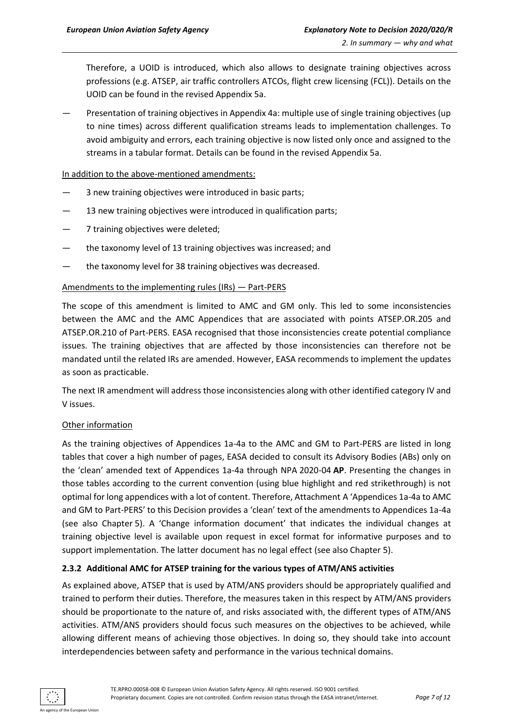Therefore, a UOID is introduced, which also allows to designate training objectives across professions (e.g. ATSEP, air traffic controllers ATCOs, flight crew licensing (FCL)). Details on the UOID can be found in the revised Appendix 5a.

— Presentation of training objectives in Appendix 4a: multiple use of single training objectives (up to nine times) across different qualification streams leads to implementation challenges. To avoid ambiguity and errors, each training objective is now listed only once and assigned to the streams in a tabular format. Details can be found in the revised Appendix 5a.

#### In addition to the above-mentioned amendments:

- 3 new training objectives were introduced in basic parts;
- 13 new training objectives were introduced in qualification parts;
- 7 training objectives were deleted;
- the taxonomy level of 13 training objectives was increased; and
- the taxonomy level for 38 training objectives was decreased.

#### Amendments to the implementing rules (IRs) — Part-PERS

The scope of this amendment is limited to AMC and GM only. This led to some inconsistencies between the AMC and the AMC Appendices that are associated with points ATSEP.OR.205 and ATSEP.OR.210 of Part-PERS. EASA recognised that those inconsistencies create potential compliance issues. The training objectives that are affected by those inconsistencies can therefore not be mandated until the related IRs are amended. However, EASA recommends to implement the updates as soon as practicable.

The next IR amendment will address those inconsistencies along with other identified category IV and V issues.

#### Other information

As the training objectives of Appendices 1a-4a to the AMC and GM to Part-PERS are listed in long tables that cover a high number of pages, EASA decided to consult its Advisory Bodies (ABs) only on the 'clean' amended text of Appendices 1a-4a through NPA 2020-04 **AP**. Presenting the changes in those tables according to the current convention (using blue highlight and red strikethrough) is not optimal for long appendices with a lot of content. Therefore, Attachment A 'Appendices 1a-4a to AMC and GM to Part-PERS' to this Decision provides a 'clean' text of the amendments to Appendices 1a-4a (see also Chapter 5). A 'Change information document' that indicates the individual changes at training objective level is available upon request in excel format for informative purposes and to support implementation. The latter document has no legal effect (see also Chapter 5).

#### **2.3.2 Additional AMC for ATSEP training for the various types of ATM/ANS activities**

As explained above, ATSEP that is used by ATM/ANS providers should be appropriately qualified and trained to perform their duties. Therefore, the measures taken in this respect by ATM/ANS providers should be proportionate to the nature of, and risks associated with, the different types of ATM/ANS activities. ATM/ANS providers should focus such measures on the objectives to be achieved, while allowing different means of achieving those objectives. In doing so, they should take into account interdependencies between safety and performance in the various technical domains.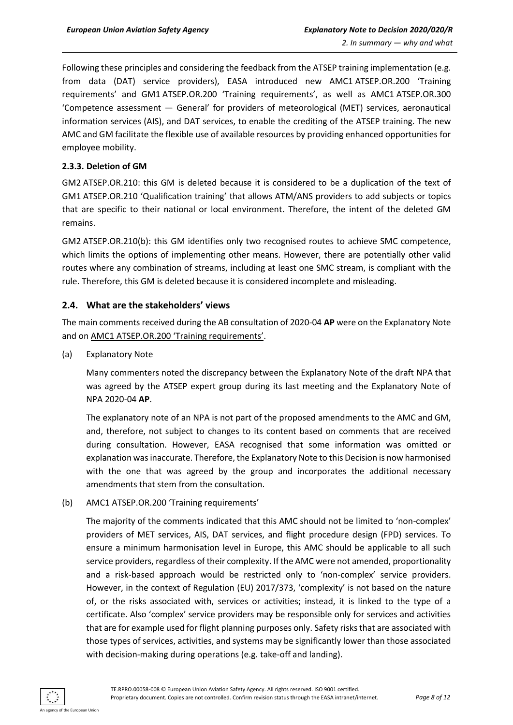Following these principles and considering the feedback from the ATSEP training implementation (e.g. from data (DAT) service providers), EASA introduced new AMC1 ATSEP.OR.200 'Training requirements' and GM1 ATSEP.OR.200 'Training requirements', as well as AMC1 ATSEP.OR.300 'Competence assessment — General' for providers of meteorological (MET) services, aeronautical information services (AIS), and DAT services, to enable the crediting of the ATSEP training. The new AMC and GM facilitate the flexible use of available resources by providing enhanced opportunities for employee mobility.

#### **2.3.3. Deletion of GM**

GM2 ATSEP.OR.210: this GM is deleted because it is considered to be a duplication of the text of GM1 ATSEP.OR.210 'Qualification training' that allows ATM/ANS providers to add subjects or topics that are specific to their national or local environment. Therefore, the intent of the deleted GM remains.

GM2 ATSEP.OR.210(b): this GM identifies only two recognised routes to achieve SMC competence, which limits the options of implementing other means. However, there are potentially other valid routes where any combination of streams, including at least one SMC stream, is compliant with the rule. Therefore, this GM is deleted because it is considered incomplete and misleading.

#### <span id="page-7-0"></span>**2.4. What are the stakeholders' views**

The main comments received during the AB consultation of 2020-04 **AP** were on the Explanatory Note and on AMC1 ATSEP.OR.200 'Training requirements'.

(a) Explanatory Note

Many commenters noted the discrepancy between the Explanatory Note of the draft NPA that was agreed by the ATSEP expert group during its last meeting and the Explanatory Note of NPA 2020-04 **AP**.

The explanatory note of an NPA is not part of the proposed amendments to the AMC and GM, and, therefore, not subject to changes to its content based on comments that are received during consultation. However, EASA recognised that some information was omitted or explanation was inaccurate. Therefore, the Explanatory Note to this Decision is now harmonised with the one that was agreed by the group and incorporates the additional necessary amendments that stem from the consultation.

(b) AMC1 ATSEP.OR.200 'Training requirements'

The majority of the comments indicated that this AMC should not be limited to 'non-complex' providers of MET services, AIS, DAT services, and flight procedure design (FPD) services. To ensure a minimum harmonisation level in Europe, this AMC should be applicable to all such service providers, regardless of their complexity. If the AMC were not amended, proportionality and a risk-based approach would be restricted only to 'non-complex' service providers. However, in the context of Regulation (EU) 2017/373, 'complexity' is not based on the nature of, or the risks associated with, services or activities; instead, it is linked to the type of a certificate. Also 'complex' service providers may be responsible only for services and activities that are for example used for flight planning purposes only. Safety risks that are associated with those types of services, activities, and systems may be significantly lower than those associated with decision-making during operations (e.g. take-off and landing).

TE.RPRO.00058-008 © European Union Aviation Safety Agency. All rights reserved. ISO 9001 certified. Proprietary document. Copies are not controlled. Confirm revision status through the EASA intranet/internet. *Page 8 of 12*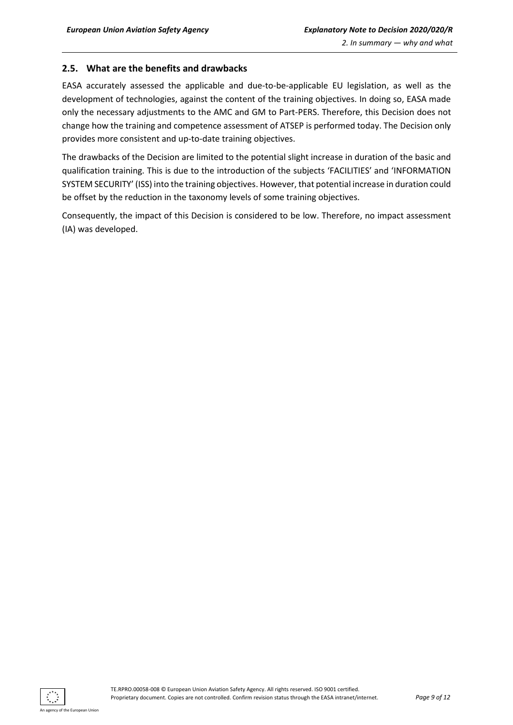#### <span id="page-8-0"></span>**2.5. What are the benefits and drawbacks**

EASA accurately assessed the applicable and due-to-be-applicable EU legislation, as well as the development of technologies, against the content of the training objectives. In doing so, EASA made only the necessary adjustments to the AMC and GM to Part-PERS. Therefore, this Decision does not change how the training and competence assessment of ATSEP is performed today. The Decision only provides more consistent and up-to-date training objectives.

The drawbacks of the Decision are limited to the potential slight increase in duration of the basic and qualification training. This is due to the introduction of the subjects 'FACILITIES' and 'INFORMATION SYSTEM SECURITY' (ISS) into the training objectives. However, that potential increase in duration could be offset by the reduction in the taxonomy levels of some training objectives.

Consequently, the impact of this Decision is considered to be low. Therefore, no impact assessment (IA) was developed.

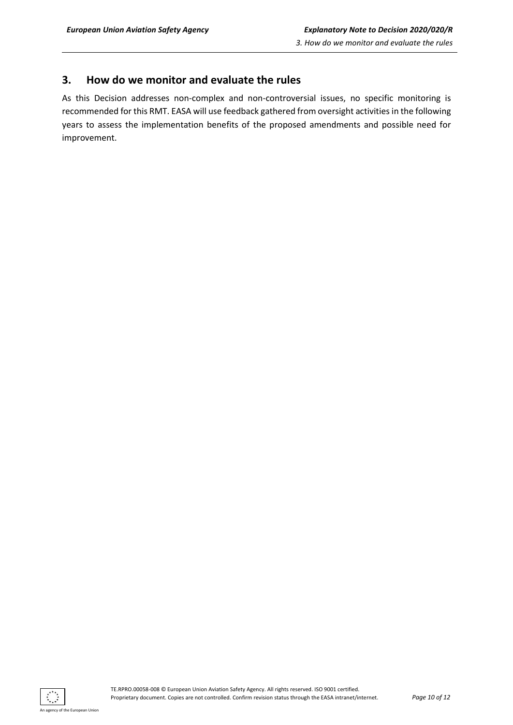## <span id="page-9-0"></span>**3. How do we monitor and evaluate the rules**

As this Decision addresses non-complex and non-controversial issues, no specific monitoring is recommended for this RMT. EASA will use feedback gathered from oversight activities in the following years to assess the implementation benefits of the proposed amendments and possible need for improvement.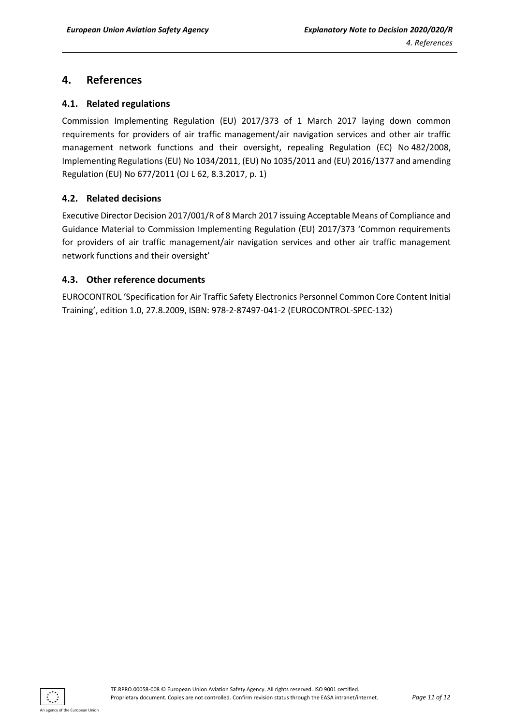## <span id="page-10-0"></span>**4. References**

#### <span id="page-10-1"></span>**4.1. Related regulations**

Commission Implementing Regulation (EU) 2017/373 of 1 March 2017 laying down common requirements for providers of air traffic management/air navigation services and other air traffic management network functions and their oversight, repealing Regulation (EC) No 482/2008, Implementing Regulations (EU) No 1034/2011, (EU) No 1035/2011 and (EU) 2016/1377 and amending Regulation (EU) No 677/2011 (OJ L 62, 8.3.2017, p. 1)

#### <span id="page-10-2"></span>**4.2. Related decisions**

Executive Director Decision 2017/001/R of 8 March 2017 issuing Acceptable Means of Compliance and Guidance Material to Commission Implementing Regulation (EU) 2017/373 'Common requirements for providers of air traffic management/air navigation services and other air traffic management network functions and their oversight'

#### <span id="page-10-3"></span>**4.3. Other reference documents**

EUROCONTROL 'Specification for Air Traffic Safety Electronics Personnel Common Core Content Initial Training', edition 1.0, 27.8.2009, ISBN: 978-2-87497-041-2 (EUROCONTROL-SPEC-132)